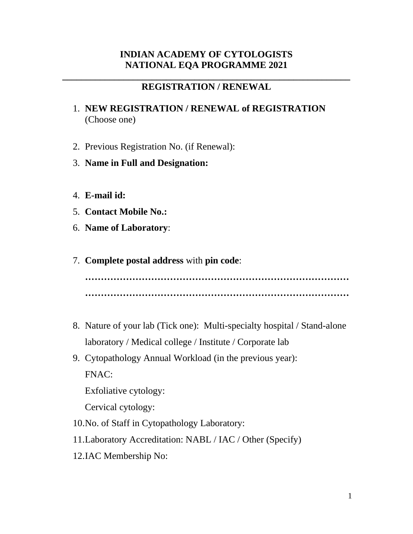# **INDIAN ACADEMY OF CYTOLOGISTS NATIONAL EQA PROGRAMME 2021**

## **\_\_\_\_\_\_\_\_\_\_\_\_\_\_\_\_\_\_\_\_\_\_\_\_\_\_\_\_\_\_\_\_\_\_\_\_\_\_\_\_\_\_\_\_\_\_\_\_\_\_\_\_\_\_\_\_\_\_\_\_\_ REGISTRATION / RENEWAL**

- 1. **NEW REGISTRATION / RENEWAL of REGISTRATION** (Choose one)
- 2. Previous Registration No. (if Renewal):
- 3. **Name in Full and Designation:**
- 4. **E-mail id:**
- 5. **Contact Mobile No.:**
- 6. **Name of Laboratory**:
- 7. **Complete postal address** with **pin code**:

**………………………………………………………………………… …………………………………………………………………………**

- 8. Nature of your lab (Tick one): Multi-specialty hospital / Stand-alone laboratory / Medical college / Institute / Corporate lab
- 9. Cytopathology Annual Workload (in the previous year): FNAC:

Exfoliative cytology:

Cervical cytology:

- 10.No. of Staff in Cytopathology Laboratory:
- 11.Laboratory Accreditation: NABL / IAC / Other (Specify)
- 12.IAC Membership No: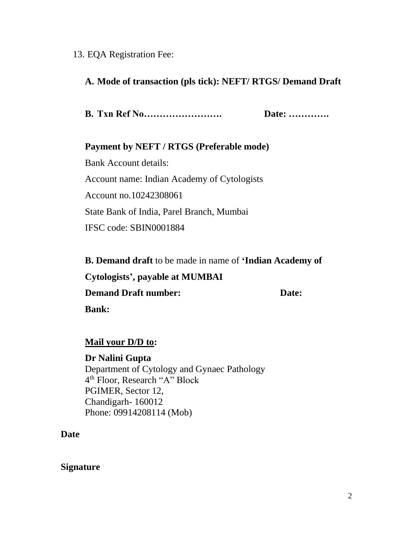### 13. EQA Registration Fee:

## **A. Mode of transaction (pls tick): NEFT/ RTGS/ Demand Draft**

**B. Txn Ref No……………………. Date: ………….** 

### **Payment by NEFT / RTGS (Preferable mode)**

Bank Account details: Account name: Indian Academy of Cytologists Account no.10242308061 State Bank of India, Parel Branch, Mumbai IFSC code: SBIN0001884

**B. Demand draft** to be made in name of **'Indian Academy of Cytologists', payable at MUMBAI Demand Draft number:** Date: **Bank:** 

## **Mail your D/D to:**

#### **Dr Nalini Gupta**

Department of Cytology and Gynaec Pathology 4 th Floor, Research "A" Block PGIMER, Sector 12, Chandigarh- 160012 Phone: 09914208114 (Mob)

**Date**

#### **Signature**